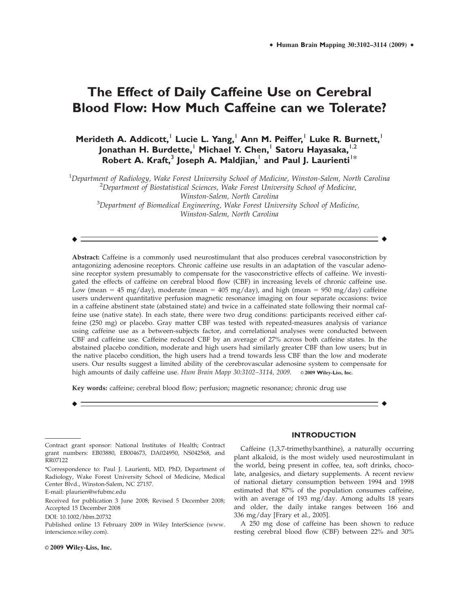# **The Effect of Daily Caffeine Use on Cerebral Blood Flow: How Much Caffeine can we Tolerate?**

**Merideth A. Addicott,**<sup>1</sup> **Lucie L. Yang,**<sup>1</sup> **Ann M. Peiffer,**<sup>1</sup> **Luke R. Burnett,**<sup>1</sup> **Jonathan H. Burdette,**<sup>1</sup> **Michael Y. Chen,**<sup>1</sup> **Satoru Hayasaka,**1,2 Robert A. Kraft,<sup>3</sup> Joseph A. Maldjian,<sup>1</sup> and Paul J. Laurienti<sup>1\*</sup>

 $^{\rm 1}$ Department of Radiology, Wake Forest University School of Medicine, Winston-Salem, North Carolina  $^{2}$ Department of Biostatistical Sciences, Wake Forest University School of Medicine,

Winston-Salem, North Carolina

 ${}^{3}$ Department of Biomedical Engineering, Wake Forest University School of Medicine, Winston-Salem, North Carolina

Abstract: Caffeine is a commonly used neurostimulant that also produces cerebral vasoconstriction by antagonizing adenosine receptors. Chronic caffeine use results in an adaptation of the vascular adenosine receptor system presumably to compensate for the vasoconstrictive effects of caffeine. We investigated the effects of caffeine on cerebral blood flow (CBF) in increasing levels of chronic caffeine use. Low (mean = 45 mg/day), moderate (mean = 405 mg/day), and high (mean = 950 mg/day) caffeine users underwent quantitative perfusion magnetic resonance imaging on four separate occasions: twice in a caffeine abstinent state (abstained state) and twice in a caffeinated state following their normal caffeine use (native state). In each state, there were two drug conditions: participants received either caffeine (250 mg) or placebo. Gray matter CBF was tested with repeated-measures analysis of variance using caffeine use as a between-subjects factor, and correlational analyses were conducted between CBF and caffeine use. Caffeine reduced CBF by an average of 27% across both caffeine states. In the abstained placebo condition, moderate and high users had similarly greater CBF than low users; but in the native placebo condition, the high users had a trend towards less CBF than the low and moderate users. Our results suggest a limited ability of the cerebrovascular adenosine system to compensate for high amounts of daily caffeine use. Hum Brain Mapp 30:3102-3114, 2009.  $\circ$  2009 Wiley-Liss, Inc.

Key words: caffeine; cerebral blood flow; perfusion; magnetic resonance; chronic drug use

E-mail: plaurien@wfubmc.edu

DOI: 10.1002/hbm.20732

Published online 13 February 2009 in Wiley InterScience (www. interscience.wiley.com).

# Caffeine (1,3,7-trimethylxanthine), a naturally occurring

plant alkaloid, is the most widely used neurostimulant in the world, being present in coffee, tea, soft drinks, chocolate, analgesics, and dietary supplements. A recent review of national dietary consumption between 1994 and 1998 estimated that 87% of the population consumes caffeine, with an average of 193 mg/day. Among adults 18 years and older, the daily intake ranges between 166 and 336 mg/day [Frary et al., 2005].

**INTRODUCTION**

A 250 mg dose of caffeine has been shown to reduce resting cerebral blood flow (CBF) between 22% and 30%

Contract grant sponsor: National Institutes of Health; Contract grant numbers: EB03880, EB004673, DA024950, NS042568, and RR07122

<sup>\*</sup>Correspondence to: Paul J. Laurienti, MD, PhD, Department of Radiology, Wake Forest University School of Medicine, Medical Center Blvd., Winston-Salem, NC 27157.

Received for publication 3 June 2008; Revised 5 December 2008; Accepted 15 December 2008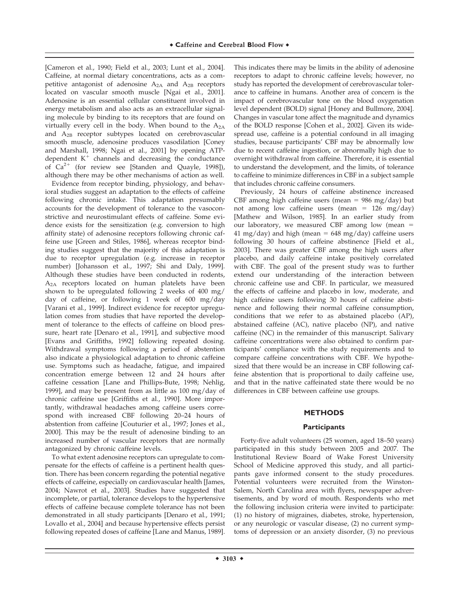[Cameron et al., 1990; Field et al., 2003; Lunt et al., 2004]. Caffeine, at normal dietary concentrations, acts as a competitive antagonist of adenosine  $A_{2A}$  and  $A_{2B}$  receptors located on vascular smooth muscle [Ngai et al., 2001]. Adenosine is an essential cellular constituent involved in energy metabolism and also acts as an extracellular signaling molecule by binding to its receptors that are found on virtually every cell in the body. When bound to the  $A_{2A}$ and A2B receptor subtypes located on cerebrovascular smooth muscle, adenosine produces vasodilation [Coney and Marshall, 1998; Ngai et al., 2001] by opening ATPdependent  $K^+$  channels and decreasing the conductance of  $Ca^{2+}$  (for review see [Standen and Quayle, 1998]), although there may be other mechanisms of action as well.

Evidence from receptor binding, physiology, and behavioral studies suggest an adaptation to the effects of caffeine following chronic intake. This adaptation presumably accounts for the development of tolerance to the vasoconstrictive and neurostimulant effects of caffeine. Some evidence exists for the sensitization (e.g. conversion to high affinity state) of adenosine receptors following chronic caffeine use [Green and Stiles, 1986], whereas receptor binding studies suggest that the majority of this adaptation is due to receptor upregulation (e.g. increase in receptor number) [Johansson et al., 1997; Shi and Daly, 1999]. Although these studies have been conducted in rodents, A2A receptors located on human platelets have been shown to be upregulated following 2 weeks of 400 mg/ day of caffeine, or following 1 week of 600 mg/day [Varani et al., 1999]. Indirect evidence for receptor upregulation comes from studies that have reported the development of tolerance to the effects of caffeine on blood pressure, heart rate [Denaro et al., 1991], and subjective mood [Evans and Griffiths, 1992] following repeated dosing. Withdrawal symptoms following a period of abstention also indicate a physiological adaptation to chronic caffeine use. Symptoms such as headache, fatigue, and impaired concentration emerge between 12 and 24 hours after caffeine cessation [Lane and Phillips-Bute, 1998; Nehlig, 1999], and may be present from as little as 100 mg/day of chronic caffeine use [Griffiths et al., 1990]. More importantly, withdrawal headaches among caffeine users correspond with increased CBF following 20–24 hours of abstention from caffeine [Couturier et al., 1997; Jones et al., 2000]. This may be the result of adenosine binding to an increased number of vascular receptors that are normally antagonized by chronic caffeine levels.

To what extent adenosine receptors can upregulate to compensate for the effects of caffeine is a pertinent health question. There has been concern regarding the potential negative effects of caffeine, especially on cardiovascular health [James, 2004; Nawrot et al., 2003]. Studies have suggested that incomplete, or partial, tolerance develops to the hypertensive effects of caffeine because complete tolerance has not been demonstrated in all study participants [Denaro et al., 1991; Lovallo et al., 2004] and because hypertensive effects persist following repeated doses of caffeine [Lane and Manus, 1989].

This indicates there may be limits in the ability of adenosine receptors to adapt to chronic caffeine levels; however, no study has reported the development of cerebrovascular tolerance to caffeine in humans. Another area of concern is the impact of cerebrovascular tone on the blood oxygenation level dependent (BOLD) signal [Honey and Bullmore, 2004]. Changes in vascular tone affect the magnitude and dynamics of the BOLD response [Cohen et al., 2002]. Given its widespread use, caffeine is a potential confound in all imaging studies, because participants' CBF may be abnormally low due to recent caffeine ingestion, or abnormally high due to overnight withdrawal from caffeine. Therefore, it is essential to understand the development, and the limits, of tolerance to caffeine to minimize differences in CBF in a subject sample that includes chronic caffeine consumers.

Previously, 24 hours of caffeine abstinence increased CBF among high caffeine users (mean  $= 986$  mg/day) but not among low caffeine users (mean =  $126 \text{ mg/day}$ ) [Mathew and Wilson, 1985]. In an earlier study from our laboratory, we measured CBF among low (mean  $=$ 41 mg/day) and high (mean =  $648$  mg/day) caffeine users following 30 hours of caffeine abstinence [Field et al., 2003]. There was greater CBF among the high users after placebo, and daily caffeine intake positively correlated with CBF. The goal of the present study was to further extend our understanding of the interaction between chronic caffeine use and CBF. In particular, we measured the effects of caffeine and placebo in low, moderate, and high caffeine users following 30 hours of caffeine abstinence and following their normal caffeine consumption, conditions that we refer to as abstained placebo (AP), abstained caffeine (AC), native placebo (NP), and native caffeine (NC) in the remainder of this manuscript. Salivary caffeine concentrations were also obtained to confirm participants' compliance with the study requirements and to compare caffeine concentrations with CBF. We hypothesized that there would be an increase in CBF following caffeine abstention that is proportional to daily caffeine use, and that in the native caffeinated state there would be no differences in CBF between caffeine use groups.

# **METHODS**

#### **Participants**

Forty-five adult volunteers (25 women, aged 18–50 years) participated in this study between 2005 and 2007. The Institutional Review Board of Wake Forest University School of Medicine approved this study, and all participants gave informed consent to the study procedures. Potential volunteers were recruited from the Winston-Salem, North Carolina area with flyers, newspaper advertisements, and by word of mouth. Respondents who met the following inclusion criteria were invited to participate: (1) no history of migraines, diabetes, stroke, hypertension, or any neurologic or vascular disease, (2) no current symptoms of depression or an anxiety disorder, (3) no previous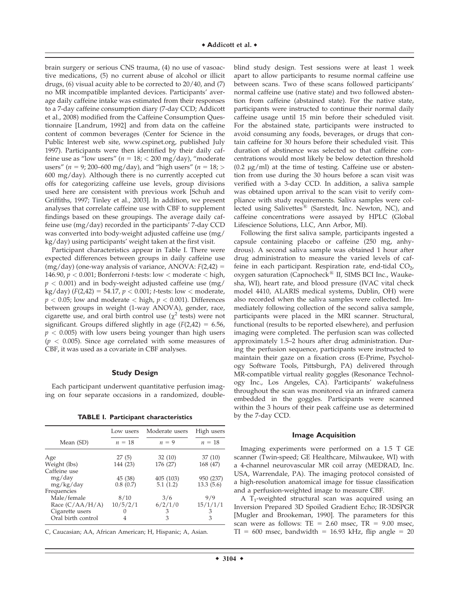brain surgery or serious CNS trauma, (4) no use of vasoactive medications, (5) no current abuse of alcohol or illicit drugs, (6) visual acuity able to be corrected to 20/40, and (7) no MR incompatible implanted devices. Participants' average daily caffeine intake was estimated from their responses to a 7-day caffeine consumption diary (7-day CCD; Addicott et al., 2008) modified from the Caffeine Consumption Questionnaire [Landrum, 1992] and from data on the caffeine content of common beverages (Center for Science in the Public Interest web site, www.cspinet.org, published July 1997). Participants were then identified by their daily caffeine use as "low users" ( $n = 18$ ;  $< 200$  mg/day), "moderate users" ( $n = 9$ ; 200–600 mg/day), and "high users" ( $n = 18$ ; > 600 mg/day). Although there is no currently accepted cut offs for categorizing caffeine use levels, group divisions used here are consistent with previous work [Schuh and Griffiths, 1997; Tinley et al., 2003]. In addition, we present analyses that correlate caffeine use with CBF to supplement findings based on these groupings. The average daily caffeine use (mg/day) recorded in the participants' 7-day CCD was converted into body-weight adjusted caffeine use (mg/ kg/day) using participants' weight taken at the first visit.

Participant characteristics appear in Table I. There were expected differences between groups in daily caffeine use  $(mg/day)$  (one-way analysis of variance, ANOVA:  $F(2,42) =$ 146.90,  $p < 0.001$ ; Bonferroni *t*-tests: low  $<$  moderate  $<$  high,  $p < 0.001$ ) and in body-weight adjusted caffeine use (mg/ kg/day) ( $F(2,42) = 54.17$ ,  $p < 0.001$ ; t-tests: low < moderate,  $p < 0.05$ ; low and moderate  $<$  high,  $p < 0.001$ ). Differences between groups in weight (1-way ANOVA), gender, race, cigarette use, and oral birth control use  $(\chi^2$  tests) were not significant. Groups differed slightly in age  $(F(2,42) = 6.56,$  $p < 0.005$ ) with low users being younger than high users  $(p < 0.005)$ . Since age correlated with some measures of CBF, it was used as a covariate in CBF analyses.

# **Study Design**

Each participant underwent quantitative perfusion imaging on four separate occasions in a randomized, double-

**TABLE I. Participant characteristics**

|                    | Low users | Moderate users | High users |
|--------------------|-----------|----------------|------------|
| Mean (SD)          | $n = 18$  | $n = 9$        | $n = 18$   |
| Age                | 27(5)     | 32(10)         | 37(10)     |
| Weight (lbs)       | 144 (23)  | 176 (27)       | 168 (47)   |
| Caffeine use       |           |                |            |
| mg/day             | 45 (38)   | 405 (103)      | 950 (237)  |
| mg/kg/day          | 0.8(0.7)  | 5.1(1.2)       | 13.3(5.6)  |
| Frequencies        |           |                |            |
| Male/female        | 8/10      | 3/6            | 9/9        |
| Race $(C/AA/H/A)$  | 10/5/2/1  | 6/2/1/0        | 15/1/1/1   |
| Cigarette users    | 0         | З              | З          |
| Oral birth control |           | 3              | 3          |

C, Caucasian; AA, African American; H, Hispanic; A, Asian.

blind study design. Test sessions were at least 1 week apart to allow participants to resume normal caffeine use between scans. Two of these scans followed participants' normal caffeine use (native state) and two followed abstention from caffeine (abstained state). For the native state, participants were instructed to continue their normal daily caffeine usage until 15 min before their scheduled visit. For the abstained state, participants were instructed to avoid consuming any foods, beverages, or drugs that contain caffeine for 30 hours before their scheduled visit. This duration of abstinence was selected so that caffeine concentrations would most likely be below detection threshold  $(0.2 \text{ µg/ml})$  at the time of testing. Caffeine use or abstention from use during the 30 hours before a scan visit was verified with a 3-day CCD. In addition, a saliva sample was obtained upon arrival to the scan visit to verify compliance with study requirements. Saliva samples were collected using Salivettes $^{(8)}$  (Sarstedt, Inc. Newton, NC), and caffeine concentrations were assayed by HPLC (Global Lifescience Solutions, LLC, Ann Arbor, MI).

Following the first saliva sample, participants ingested a capsule containing placebo or caffeine (250 mg, anhydrous). A second saliva sample was obtained 1 hour after drug administration to measure the varied levels of caffeine in each participant. Respiration rate, end-tidal  $CO<sub>2</sub>$ , oxygen saturation (Capnocheck<sup>®</sup> II, SIMS BCI Inc., Waukesha, WI), heart rate, and blood pressure (IVAC vital check model 4410, ALARIS medical systems, Dublin, OH) were also recorded when the saliva samples were collected. Immediately following collection of the second saliva sample, participants were placed in the MRI scanner. Structural, functional (results to be reported elsewhere), and perfusion imaging were completed. The perfusion scan was collected approximately 1.5–2 hours after drug administration. During the perfusion sequence, participants were instructed to maintain their gaze on a fixation cross (E-Prime, Psychology Software Tools, Pittsburgh, PA) delivered through MR-compatible virtual reality goggles (Resonance Technology Inc., Los Angeles, CA). Participants' wakefulness throughout the scan was monitored via an infrared camera embedded in the goggles. Participants were scanned within the 3 hours of their peak caffeine use as determined by the 7-day CCD.

### **Image Acquisition**

Imaging experiments were performed on a 1.5 T GE scanner (Twin-speed; GE Healthcare, Milwaukee, WI) with a 4-channel neurovascular MR coil array (MEDRAD, Inc. USA, Warrendale, PA). The imaging protocol consisted of a high-resolution anatomical image for tissue classification and a perfusion-weighted image to measure CBF.

A T<sub>1</sub>-weighted structural scan was acquired using an Inversion Prepared 3D Spoiled Gradient Echo; IR-3DSPGR [Mugler and Brookeman, 1990]. The parameters for this scan were as follows: TE =  $2.60$  msec, TR =  $9.00$  msec,  $TI = 600$  msec, bandwidth = 16.93 kHz, flip angle = 20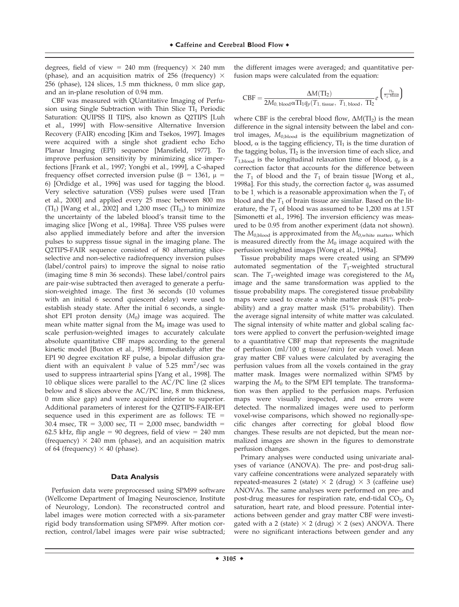degrees, field of view = 240 mm (frequency)  $\times$  240 mm (phase), and an acquisition matrix of 256 (frequency)  $\times$ 256 (phase), 124 slices, 1.5 mm thickness, 0 mm slice gap, and an in-plane resolution of 0.94 mm.

CBF was measured with QUantitative Imaging of Perfusion using Single Subtraction with Thin Slice  $TI_1$  Periodic Saturation: QUIPSS II TIPS, also known as Q2TIPS [Luh et al., 1999] with Flow-sensitive Alternative Inversion Recovery (FAIR) encoding [Kim and Tsekos, 1997]. Images were acquired with a single shot gradient echo Echo Planar Imaging (EPI) sequence [Mansfield, 1977]. To improve perfusion sensitivity by minimizing slice imperfections [Frank et al., 1997; Yongbi et al., 1999], a C-shaped frequency offset corrected inversion pulse ( $\beta$  = 1361,  $\mu$  = 6) [Ordidge et al., 1996] was used for tagging the blood. Very selective saturation (VSS) pulses were used [Tran et al., 2000] and applied every 25 msec between 800 ms (TI<sub>1</sub>) [Wang et al., 2002] and 1,200 msec (TI<sub>1s</sub>) to minimize the uncertainty of the labeled blood's transit time to the imaging slice [Wong et al., 1998a]. Three VSS pulses were also applied immediately before and after the inversion pulses to suppress tissue signal in the imaging plane. The Q2TIPS-FAIR sequence consisted of 80 alternating sliceselective and non-selective radiofrequency inversion pulses (label/control pairs) to improve the signal to noise ratio (imaging time 8 min 36 seconds). These label/control pairs are pair-wise subtracted then averaged to generate a perfusion-weighted image. The first 36 seconds (10 volumes with an initial 6 second quiescent delay) were used to establish steady state. After the initial 6 seconds, a singleshot EPI proton density  $(M_0)$  image was acquired. The mean white matter signal from the  $M_0$  image was used to scale perfusion-weighted images to accurately calculate absolute quantitative CBF maps according to the general kinetic model [Buxton et al., 1998]. Immediately after the EPI 90 degree excitation RF pulse, a bipolar diffusion gradient with an equivalent  $b$  value of 5.25 mm<sup>2</sup>/sec was used to suppress intraarterial spins [Yang et al., 1998]. The 10 oblique slices were parallel to the AC/PC line (2 slices below and 8 slices above the AC/PC line, 8 mm thickness, 0 mm slice gap) and were acquired inferior to superior. Additional parameters of interest for the Q2TIPS-FAIR-EPI sequence used in this experiment are as follows:  $TE =$ 30.4 msec, TR = 3,000 sec, TI = 2,000 msec, bandwidth = 62.5 kHz, flip angle = 90 degrees, field of view =  $240$  mm (frequency)  $\times$  240 mm (phase), and an acquisition matrix of 64 (frequency)  $\times$  40 (phase).

#### **Data Analysis**

Perfusion data were preprocessed using SPM99 software (Wellcome Department of Imaging Neuroscience, Institute of Neurology, London). The reconstructed control and label images were motion corrected with a six-parameter rigid body transformation using SPM99. After motion correction, control/label images were pair wise subtracted; the different images were averaged; and quantitative perfusion maps were calculated from the equation:

$$
CBF = \frac{\Delta M (TI_2)}{2 M_{0,\, blood} \alpha TI_1 q_p (T_{1,\, tissue},\ T_{1,\, blood},\ TI_2} e^{\left(\frac{ T_{12}}{T_1,\, blood}\right)}
$$

where CBF is the cerebral blood flow,  $\Delta M(TI_2)$  is the mean difference in the signal intensity between the label and control images,  $M_{0,blood}$  is the equilibrium magnetization of blood,  $\alpha$  is the tagging efficiency,  $TI_1$  is the time duration of the tagging bolus,  $TI_2$  is the inversion time of each slice, and  $T_{1, \text{blood}}$  is the longitudinal relaxation time of blood,  $q_n$  is a correction factor that accounts for the difference between the  $T_1$  of blood and the  $T_1$  of brain tissue [Wong et al., 1998a]. For this study, the correction factor  $q_p$  was assumed to be 1, which is a reasonable approximation when the  $T_1$  of blood and the  $T_1$  of brain tissue are similar. Based on the literature, the  $T_1$  of blood was assumed to be 1,200 ms at 1.5T [Simonetti et al., 1996]. The inversion efficiency was measured to be 0.95 from another experiment (data not shown). The  $M_{0,\text{blood}}$  is approximated from the  $M_{0,\text{white matter}}$ , which is measured directly from the  $M_0$  image acquired with the perfusion weighted images [Wong et al., 1998a].

Tissue probability maps were created using an SPM99 automated segmentation of the  $T_1$ -weighted structural scan. The  $T_1$ -weighted image was coregistered to the  $M_0$ image and the same transformation was applied to the tissue probability maps. The coregistered tissue probability maps were used to create a white matter mask (81% probability) and a gray matter mask (51% probability). Then the average signal intensity of white matter was calculated. The signal intensity of white matter and global scaling factors were applied to convert the perfusion-weighted image to a quantitative CBF map that represents the magnitude of perfusion (ml/100 g tissue/min) for each voxel. Mean gray matter CBF values were calculated by averaging the perfusion values from all the voxels contained in the gray matter mask. Images were normalized within SPM5 by warping the  $M_0$  to the SPM EPI template. The transformation was then applied to the perfusion maps. Perfusion maps were visually inspected, and no errors were detected. The normalized images were used to perform voxel-wise comparisons, which showed no regionally-specific changes after correcting for global blood flow changes. These results are not depicted, but the mean normalized images are shown in the figures to demonstrate perfusion changes.

Primary analyses were conducted using univariate analyses of variance (ANOVA). The pre- and post-drug salivary caffeine concentrations were analyzed separately with repeated-measures 2 (state)  $\times$  2 (drug)  $\times$  3 (caffeine use) ANOVAs. The same analyses were performed on pre- and post-drug measures for respiration rate, end-tidal  $CO<sub>2</sub>$ ,  $O<sub>2</sub>$ saturation, heart rate, and blood pressure. Potential interactions between gender and gray matter CBF were investigated with a 2 (state)  $\times$  2 (drug)  $\times$  2 (sex) ANOVA. There were no significant interactions between gender and any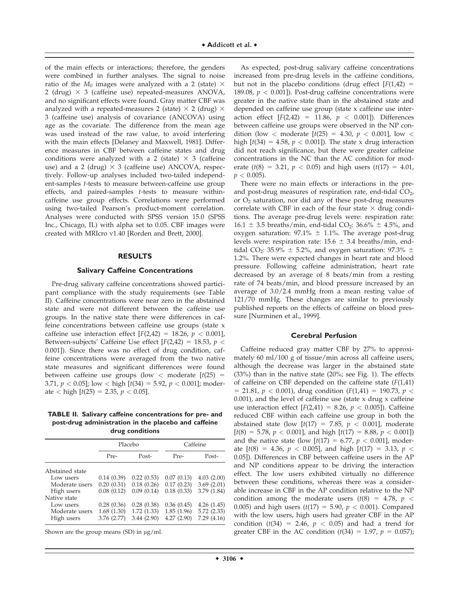of the main effects or interactions; therefore, the genders were combined in further analyses. The signal to noise ratio of the  $M_0$  images were analyzed with a 2 (state)  $\times$ 2 (drug)  $\times$  3 (caffeine use) repeated-measures ANOVA, and no significant effects were found. Gray matter CBF was analyzed with a repeated-measures 2 (state)  $\times$  2 (drug)  $\times$ 3 (caffeine use) analysis of covariance (ANCOVA) using age as the covariate. The difference from the mean age was used instead of the raw value, to avoid interfering with the main effects [Delaney and Maxwell, 1981]. Difference measures in CBF between caffeine states and drug conditions were analyzed with a 2 (state)  $\times$  3 (caffeine use) and a 2 (drug)  $\times$  3 (caffeine use) ANCOVA, respectively. Follow-up analyses included two-tailed independent-samples t-tests to measure between-caffeine use group effects, and paired-samples t-tests to measure withincaffeine use group effects. Correlations were performed using two-tailed Pearson's product-moment correlation. Analyses were conducted with SPSS version 15.0 (SPSS Inc., Chicago, IL) with alpha set to 0.05. CBF images were created with MRIcro v1.40 [Rorden and Brett, 2000].

# **RESULTS**

#### **Salivary Caffeine Concentrations**

Pre-drug salivary caffeine concentrations showed participant compliance with the study requirements (see Table II). Caffeine concentrations were near zero in the abstained state and were not different between the caffeine use groups. In the native state there were differences in caffeine concentrations between caffeine use groups (state x caffeine use interaction effect  $[F(2,42) = 18.26, p < 0.001]$ , Between-subjects' Caffeine Use effect  $[F(2,42) = 18.53, p <$ 0.001]). Since there was no effect of drug condition, caffeine concentrations were averaged from the two native state measures and significant differences were found between caffeine use groups (low  $<$  moderate [ $t(25)$  = 3.71,  $p < 0.05$ ]; low  $<$  high  $[t(34) = 5.92, p < 0.001]$ ; moderate  $\langle$  high  $[t(25) = 2.35, p \langle 0.05]$ .

**TABLE II. Salivary caffeine concentrations for pre- and post-drug administration in the placebo and caffeine drug conditions**

|                 | Placebo     |            | Caffeine   |            |
|-----------------|-------------|------------|------------|------------|
|                 | Pre-        | Post-      | Pre-       | Post-      |
| Abstained state |             |            |            |            |
| Low users       | 0.14(0.39)  | 0.22(0.53) | 0.07(0.13) | 4.03(2.00) |
| Moderate users  | 0.20(0.31)  | 0.18(0.26) | 0.17(0.23) | 3.69(2.01) |
| High users      | 0.08(0.12)  | 0.09(0.14) | 0.18(0.33) | 3.79(1.84) |
| Native state    |             |            |            |            |
| Low users       | 0.28(0.36)  | 0.28(0.38) | 0.36(0.45) | 4.26(1.45) |
| Moderate users  | 1.68(1.30)  | 1.72(1.33) | 1.85(1.96) | 5.72(2.33) |
| High users      | 3.76 (2.77) | 3.44(2.90) | 4.27(2.90) | 7.29(4.16) |

Shown are the group means (SD) in  $\mu$ g/ml.

As expected, post-drug salivary caffeine concentrations increased from pre-drug levels in the caffeine conditions, but not in the placebo conditions (drug effect  $[F(1,42) =$ 189.08,  $p < 0.001$ ]). Post-drug caffeine concentrations were greater in the native state than in the abstained state and depended on caffeine use group (state x caffeine use interaction effect  $[F(2,42) = 11.86, p < 0.001]$ ). Differences between caffeine use groups were observed in the NP condition (low < moderate  $[t(25) = 4.30, p < 0.001]$ , low < high  $[t(34) = 4.58, p < 0.001]$ ). The state x drug interaction did not reach significance, but there were greater caffeine concentrations in the NC than the AC condition for moderate ( $t(8) = 3.21$ ,  $p < 0.05$ ) and high users ( $t(17) = 4.01$ ,  $p < 0.005$ ).

There were no main effects or interactions in the preand post-drug measures of respiration rate, end-tidal  $CO<sub>2</sub>$ , or  $O<sub>2</sub>$  saturation, nor did any of these post-drug measures correlate with CBF in each of the four state  $\times$  drug conditions. The average pre-drug levels were: respiration rate:  $16.1 \pm 3.5$  breaths/min, end-tidal CO<sub>2</sub>:  $36.6\% \pm 4.5\%$ , and oxygen saturation: 97.1%  $\pm$  1.1%. The average post-drug levels were: respiration rate:  $15.6 \pm 3.4$  breaths/min, endtidal CO<sub>2</sub>: 35.9%  $\pm$  5.2%, and oxygen saturation: 97.3%  $\pm$ 1.2%. There were expected changes in heart rate and blood pressure. Following caffeine administration, heart rate decreased by an average of 8 beats/min from a resting rate of 74 beats/min, and blood pressure increased by an average of 3.0/2.4 mmHg from a mean resting value of 121/70 mmHg. These changes are similar to previously published reports on the effects of caffeine on blood pressure [Nurminen et al., 1999].

# **Cerebral Perfusion**

Caffeine reduced gray matter CBF by 27% to approximately 60 ml/100 g of tissue/min across all caffeine users, although the decrease was larger in the abstained state (33%) than in the native state (20%; see Fig. 1). The effects of caffeine on CBF depended on the caffeine state  $(F(1,41))$  $=$  21.81,  $p < 0.001$ ), drug condition (F(1,41) = 190.73,  $p <$  $0.001$ ), and the level of caffeine use (state x drug x caffeine use interaction effect  $[F(2,41) = 8.26, p < 0.005]$ ). Caffeine reduced CBF within each caffeine use group in both the abstained state (low  $[t(17) = 7.85, p < 0.001]$ , moderate  $[t(8) = 5.78, p < 0.001]$ , and high  $[t(17) = 8.88, p < 0.001]$ and the native state (low  $[t(17) = 6.77, p < 0.001]$ , moderate  $[t(8) = 4.36, p < 0.005]$ , and high  $[t(17) = 3.13, p <$ 0.05]). Differences in CBF between caffeine users in the AP and NP conditions appear to be driving the interaction effect. The low users exhibited virtually no difference between these conditions, whereas there was a considerable increase in CBF in the AP condition relative to the NP condition among the moderate users  $(t(8) = 4.78, p <$ 0.005) and high users ( $t(17) = 5.90$ ,  $p < 0.001$ ). Compared with the low users, high users had greater CBF in the AP condition ( $t(34) = 2.46$ ,  $p < 0.05$ ) and had a trend for greater CBF in the AC condition ( $t(34) = 1.97$ ,  $p = 0.057$ );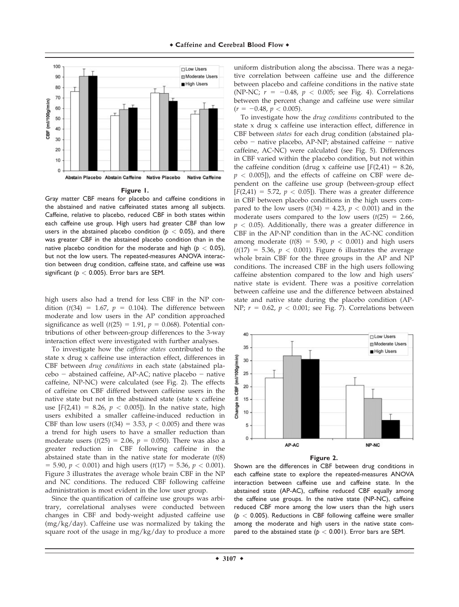

#### **Figure 1.**

Gray matter CBF means for placebo and caffeine conditions in the abstained and native caffeinated states among all subjects. Caffeine, relative to placebo, reduced CBF in both states within each caffeine use group. High users had greater CBF than low users in the abstained placebo condition ( $p < 0.05$ ), and there was greater CBF in the abstained placebo condition than in the native placebo condition for the moderate and high ( $p < 0.05$ ), but not the low users. The repeated-measures ANOVA interaction between drug condition, caffeine state, and caffeine use was significant ( $p < 0.005$ ). Error bars are SEM.

high users also had a trend for less CBF in the NP condition ( $t(34) = 1.67$ ,  $p = 0.104$ ). The difference between moderate and low users in the AP condition approached significance as well ( $t(25) = 1.91$ ,  $p = 0.068$ ). Potential contributions of other between-group differences to the 3-way interaction effect were investigated with further analyses.

To investigate how the *caffeine states* contributed to the state x drug x caffeine use interaction effect, differences in CBF between drug conditions in each state (abstained pla $cebo - abstained caffeine, AP-AC; native placebo - native$ caffeine, NP-NC) were calculated (see Fig. 2). The effects of caffeine on CBF differed between caffeine users in the native state but not in the abstained state (state x caffeine use  $[F(2,41) = 8.26, p < 0.005]$ . In the native state, high users exhibited a smaller caffeine-induced reduction in CBF than low users  $(t(34) = 3.53, p < 0.005)$  and there was a trend for high users to have a smaller reduction than moderate users ( $t(25) = 2.06$ ,  $p = 0.050$ ). There was also a greater reduction in CBF following caffeine in the abstained state than in the native state for moderate  $(t(8))$  $=$  5.90,  $p < 0.001$ ) and high users ( $t(17) = 5.36$ ,  $p < 0.001$ ). Figure 3 illustrates the average whole brain CBF in the NP and NC conditions. The reduced CBF following caffeine administration is most evident in the low user group.

Since the quantification of caffeine use groups was arbitrary, correlational analyses were conducted between changes in CBF and body-weight adjusted caffeine use (mg/kg/day). Caffeine use was normalized by taking the square root of the usage in mg/kg/day to produce a more

uniform distribution along the abscissa. There was a negative correlation between caffeine use and the difference between placebo and caffeine conditions in the native state (NP-NC;  $r = -0.48$ ,  $p < 0.005$ ; see Fig. 4). Correlations between the percent change and caffeine use were similar  $(r = -0.48, p < 0.005).$ 

To investigate how the drug conditions contributed to the state x drug x caffeine use interaction effect, difference in CBF between states for each drug condition (abstained pla $cebo$  – native placebo, AP-NP; abstained caffeine – native caffeine, AC-NC) were calculated (see Fig. 5). Differences in CBF varied within the placebo condition, but not within the caffeine condition (drug x caffeine use  $[F(2,41) = 8.26,$  $p < 0.005$ ]), and the effects of caffeine on CBF were dependent on the caffeine use group (between-group effect  $[F(2,41) = 5.72, p < 0.05]$ . There was a greater difference in CBF between placebo conditions in the high users compared to the low users  $(t(34) = 4.23, p < 0.001)$  and in the moderate users compared to the low users  $(t(25) = 2.66$ ,  $p < 0.05$ ). Additionally, there was a greater difference in CBF in the AP-NP condition than in the AC-NC condition among moderate ( $t(8) = 5.90$ ,  $p < 0.001$ ) and high users  $(t(17) = 5.36, p < 0.001)$ . Figure 6 illustrates the average whole brain CBF for the three groups in the AP and NP conditions. The increased CBF in the high users following caffeine abstention compared to the low and high users' native state is evident. There was a positive correlation between caffeine use and the difference between abstained state and native state during the placebo condition (AP-NP;  $r = 0.62$ ,  $p < 0.001$ ; see Fig. 7). Correlations between





Shown are the differences in CBF between drug conditions in each caffeine state to explore the repeated-measures ANOVA interaction between caffeine use and caffeine state. In the abstained state (AP-AC), caffeine reduced CBF equally among the caffeine use groups. In the native state (NP-NC), caffeine reduced CBF more among the low users than the high users  $(p < 0.005)$ . Reductions in CBF following caffeine were smaller among the moderate and high users in the native state compared to the abstained state  $(p < 0.001)$ . Error bars are SEM.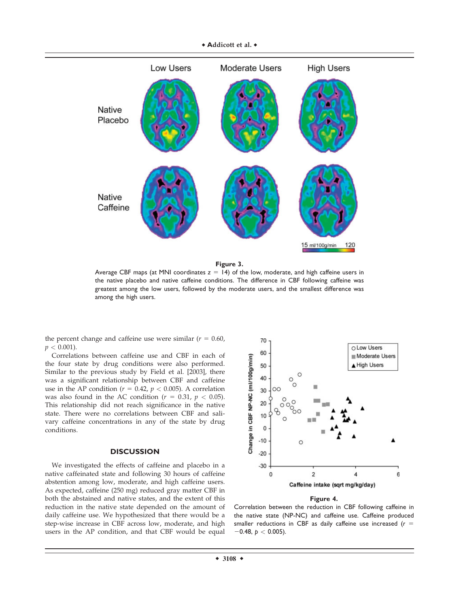

**Figure 3.**

Average CBF maps (at MNI coordinates  $z = 14$ ) of the low, moderate, and high caffeine users in the native placebo and native caffeine conditions. The difference in CBF following caffeine was greatest among the low users, followed by the moderate users, and the smallest difference was among the high users.

the percent change and caffeine use were similar ( $r = 0.60$ ,  $p < 0.001$ ).

Correlations between caffeine use and CBF in each of the four state by drug conditions were also performed. Similar to the previous study by Field et al. [2003], there was a significant relationship between CBF and caffeine use in the AP condition ( $r = 0.42$ ,  $p < 0.005$ ). A correlation was also found in the AC condition ( $r = 0.31$ ,  $p < 0.05$ ). This relationship did not reach significance in the native state. There were no correlations between CBF and salivary caffeine concentrations in any of the state by drug conditions.

# **DISCUSSION**

We investigated the effects of caffeine and placebo in a native caffeinated state and following 30 hours of caffeine abstention among low, moderate, and high caffeine users. As expected, caffeine (250 mg) reduced gray matter CBF in both the abstained and native states, and the extent of this reduction in the native state depended on the amount of daily caffeine use. We hypothesized that there would be a step-wise increase in CBF across low, moderate, and high users in the AP condition, and that CBF would be equal



**Figure 4.**

Correlation between the reduction in CBF following caffeine in the native state (NP-NC) and caffeine use. Caffeine produced smaller reductions in CBF as daily caffeine use increased  $(r =$  $-0.48$ ,  $p < 0.005$ ).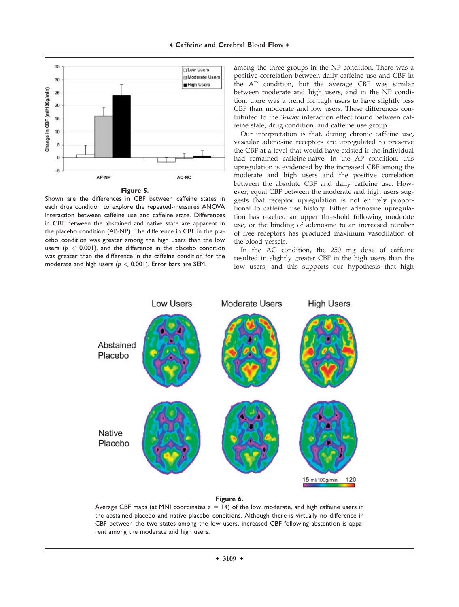



Shown are the differences in CBF between caffeine states in each drug condition to explore the repeated-measures ANOVA interaction between caffeine use and caffeine state. Differences in CBF between the abstained and native state are apparent in the placebo condition (AP-NP). The difference in CBF in the placebo condition was greater among the high users than the low users  $(p < 0.001)$ , and the difference in the placebo condition was greater than the difference in the caffeine condition for the moderate and high users ( $p < 0.001$ ). Error bars are SEM.

among the three groups in the NP condition. There was a positive correlation between daily caffeine use and CBF in the AP condition, but the average CBF was similar between moderate and high users, and in the NP condition, there was a trend for high users to have slightly less CBF than moderate and low users. These differences contributed to the 3-way interaction effect found between caffeine state, drug condition, and caffeine use group.

Our interpretation is that, during chronic caffeine use, vascular adenosine receptors are upregulated to preserve the CBF at a level that would have existed if the individual had remained caffeine-naïve. In the AP condition, this upregulation is evidenced by the increased CBF among the moderate and high users and the positive correlation between the absolute CBF and daily caffeine use. However, equal CBF between the moderate and high users suggests that receptor upregulation is not entirely proportional to caffeine use history. Either adenosine upregulation has reached an upper threshold following moderate use, or the binding of adenosine to an increased number of free receptors has produced maximum vasodilation of the blood vessels.

In the AC condition, the 250 mg dose of caffeine resulted in slightly greater CBF in the high users than the low users, and this supports our hypothesis that high



# **Figure 6.**

Average CBF maps (at MNI coordinates  $z = 14$ ) of the low, moderate, and high caffeine users in the abstained placebo and native placebo conditions. Although there is virtually no difference in CBF between the two states among the low users, increased CBF following abstention is apparent among the moderate and high users.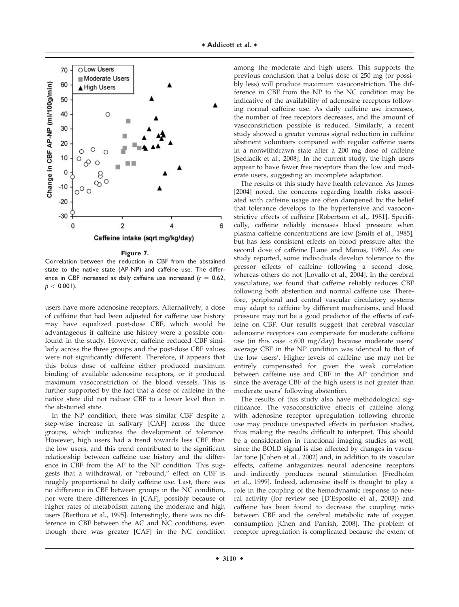

**Figure 7.**

Correlation between the reduction in CBF from the abstained state to the native state (AP-NP) and caffeine use. The difference in CBF increased as daily caffeine use increased  $(r = 0.62,$  $p < 0.001$ ).

users have more adenosine receptors. Alternatively, a dose of caffeine that had been adjusted for caffeine use history may have equalized post-dose CBF, which would be advantageous if caffeine use history were a possible confound in the study. However, caffeine reduced CBF similarly across the three groups and the post-dose CBF values were not significantly different. Therefore, it appears that this bolus dose of caffeine either produced maximum binding of available adenosine receptors, or it produced maximum vasoconstriction of the blood vessels. This is further supported by the fact that a dose of caffeine in the native state did not reduce CBF to a lower level than in the abstained state.

In the NP condition, there was similar CBF despite a step-wise increase in salivary [CAF] across the three groups, which indicates the development of tolerance. However, high users had a trend towards less CBF than the low users, and this trend contributed to the significant relationship between caffeine use history and the difference in CBF from the AP to the NP condition. This suggests that a withdrawal, or ''rebound,'' effect on CBF is roughly proportional to daily caffeine use. Last, there was no difference in CBF between groups in the NC condition, nor were there differences in [CAF], possibly because of higher rates of metabolism among the moderate and high users [Berthou et al., 1995]. Interestingly, there was no difference in CBF between the AC and NC conditions, even though there was greater [CAF] in the NC condition

among the moderate and high users. This supports the previous conclusion that a bolus dose of 250 mg (or possibly less) will produce maximum vasoconstriction. The difference in CBF from the NP to the NC condition may be indicative of the availability of adenosine receptors following normal caffeine use. As daily caffeine use increases, the number of free receptors decreases, and the amount of vasoconstriction possible is reduced. Similarly, a recent study showed a greater venous signal reduction in caffeine abstinent volunteers compared with regular caffeine users in a nonwithdrawn state after a 200 mg dose of caffeine [Sedlacik et al., 2008]. In the current study, the high users appear to have fewer free receptors than the low and moderate users, suggesting an incomplete adaptation.

The results of this study have health relevance. As James [2004] noted, the concerns regarding health risks associated with caffeine usage are often dampened by the belief that tolerance develops to the hypertensive and vasoconstrictive effects of caffeine [Robertson et al., 1981]. Specifically, caffeine reliably increases blood pressure when plasma caffeine concentrations are low [Smits et al., 1985], but has less consistent effects on blood pressure after the second dose of caffeine [Lane and Manus, 1989]. As one study reported, some individuals develop tolerance to the pressor effects of caffeine following a second dose, whereas others do not [Lovallo et al., 2004]. In the cerebral vasculature, we found that caffeine reliably reduces CBF following both abstention and normal caffeine use. Therefore, peripheral and central vascular circulatory systems may adapt to caffeine by different mechanisms, and blood pressure may not be a good predictor of the effects of caffeine on CBF. Our results suggest that cerebral vascular adenosine receptors can compensate for moderate caffeine use (in this case  $\langle 600 \text{ mg}/\text{day} \rangle$  because moderate users' average CBF in the NP condition was identical to that of the low users'. Higher levels of caffeine use may not be entirely compensated for given the weak correlation between caffeine use and CBF in the AP condition and since the average CBF of the high users is not greater than moderate users' following abstention.

The results of this study also have methodological significance. The vasoconstrictive effects of caffeine along with adenosine receptor upregulation following chronic use may produce unexpected effects in perfusion studies, thus making the results difficult to interpret. This should be a consideration in functional imaging studies as well, since the BOLD signal is also affected by changes in vascular tone [Cohen et al., 2002] and, in addition to its vascular effects, caffeine antagonizes neural adenosine receptors and indirectly produces neural stimulation [Fredholm et al., 1999]. Indeed, adenosine itself is thought to play a role in the coupling of the hemodynamic response to neural activity (for review see [D'Esposito et al., 2003]) and caffeine has been found to decrease the coupling ratio between CBF and the cerebral metabolic rate of oxygen consumption [Chen and Parrish, 2008]. The problem of receptor upregulation is complicated because the extent of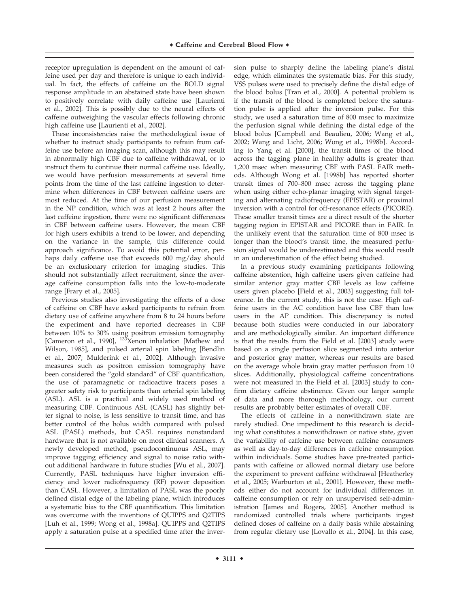receptor upregulation is dependent on the amount of caffeine used per day and therefore is unique to each individual. In fact, the effects of caffeine on the BOLD signal response amplitude in an abstained state have been shown to positively correlate with daily caffeine use [Laurienti et al., 2002]. This is possibly due to the neural effects of caffeine outweighing the vascular effects following chronic high caffeine use [Laurienti et al., 2002].

These inconsistencies raise the methodological issue of whether to instruct study participants to refrain from caffeine use before an imaging scan, although this may result in abnormally high CBF due to caffeine withdrawal, or to instruct them to continue their normal caffeine use. Ideally, we would have perfusion measurements at several time points from the time of the last caffeine ingestion to determine when differences in CBF between caffeine users are most reduced. At the time of our perfusion measurement in the NP condition, which was at least 2 hours after the last caffeine ingestion, there were no significant differences in CBF between caffeine users. However, the mean CBF for high users exhibits a trend to be lower, and depending on the variance in the sample, this difference could approach significance. To avoid this potential error, perhaps daily caffeine use that exceeds 600 mg/day should be an exclusionary criterion for imaging studies. This should not substantially affect recruitment, since the average caffeine consumption falls into the low-to-moderate range [Frary et al., 2005].

Previous studies also investigating the effects of a dose of caffeine on CBF have asked participants to refrain from dietary use of caffeine anywhere from 8 to 24 hours before the experiment and have reported decreases in CBF between 10% to 30% using positron emission tomography [Cameron et al., 1990], <sup>133</sup>Xenon inhalation [Mathew and Wilson, 1985], and pulsed arterial spin labeling [Bendlin et al., 2007; Mulderink et al., 2002]. Although invasive measures such as positron emission tomography have been considered the ''gold standard'' of CBF quantification, the use of paramagnetic or radioactive tracers poses a greater safety risk to participants than arterial spin labeling (ASL). ASL is a practical and widely used method of measuring CBF. Continuous ASL (CASL) has slightly better signal to noise, is less sensitive to transit time, and has better control of the bolus width compared with pulsed ASL (PASL) methods, but CASL requires nonstandard hardware that is not available on most clinical scanners. A newly developed method, pseudocontinuous ASL, may improve tagging efficiency and signal to noise ratio without additional hardware in future studies [Wu et al., 2007]. Currently, PASL techniques have higher inversion efficiency and lower radiofrequency (RF) power deposition than CASL. However, a limitation of PASL was the poorly defined distal edge of the labeling plane, which introduces a systematic bias to the CBF quantification. This limitation was overcome with the inventions of QUIPPS and Q2TIPS [Luh et al., 1999; Wong et al., 1998a]. QUIPPS and Q2TIPS apply a saturation pulse at a specified time after the inversion pulse to sharply define the labeling plane's distal edge, which eliminates the systematic bias. For this study, VSS pulses were used to precisely define the distal edge of the blood bolus [Tran et al., 2000]. A potential problem is if the transit of the blood is completed before the saturation pulse is applied after the inversion pulse. For this study, we used a saturation time of 800 msec to maximize the perfusion signal while defining the distal edge of the blood bolus [Campbell and Beaulieu, 2006; Wang et al., 2002; Wang and Licht, 2006; Wong et al., 1998b]. According to Yang et al. [2000], the transit times of the blood across the tagging plane in healthy adults is greater than 1,200 msec when measuring CBF with PASL FAIR methods. Although Wong et al. [1998b] has reported shorter transit times of 700–800 msec across the tagging plane when using either echo-planar imaging with signal targeting and alternating radiofrequency (EPISTAR) or proximal inversion with a control for off-resonance effects (PICORE). These smaller transit times are a direct result of the shorter tagging region in EPISTAR and PICORE than in FAIR. In the unlikely event that the saturation time of 800 msec is longer than the blood's transit time, the measured perfusion signal would be underestimated and this would result in an underestimation of the effect being studied.

In a previous study examining participants following caffeine abstention, high caffeine users given caffeine had similar anterior gray matter CBF levels as low caffeine users given placebo [Field et al., 2003] suggesting full tolerance. In the current study, this is not the case. High caffeine users in the AC condition have less CBF than low users in the AP condition. This discrepancy is noted because both studies were conducted in our laboratory and are methodologically similar. An important difference is that the results from the Field et al. [2003] study were based on a single perfusion slice segmented into anterior and posterior gray matter, whereas our results are based on the average whole brain gray matter perfusion from 10 slices. Additionally, physiological caffeine concentrations were not measured in the Field et al. [2003] study to confirm dietary caffeine abstinence. Given our larger sample of data and more thorough methodology, our current results are probably better estimates of overall CBF.

The effects of caffeine in a nonwithdrawn state are rarely studied. One impediment to this research is deciding what constitutes a nonwithdrawn or native state, given the variability of caffeine use between caffeine consumers as well as day-to-day differences in caffeine consumption within individuals. Some studies have pre-treated participants with caffeine or allowed normal dietary use before the experiment to prevent caffeine withdrawal [Heatherley et al., 2005; Warburton et al., 2001]. However, these methods either do not account for individual differences in caffeine consumption or rely on unsupervised self-administration [James and Rogers, 2005]. Another method is randomized controlled trials where participants ingest defined doses of caffeine on a daily basis while abstaining from regular dietary use [Lovallo et al., 2004]. In this case,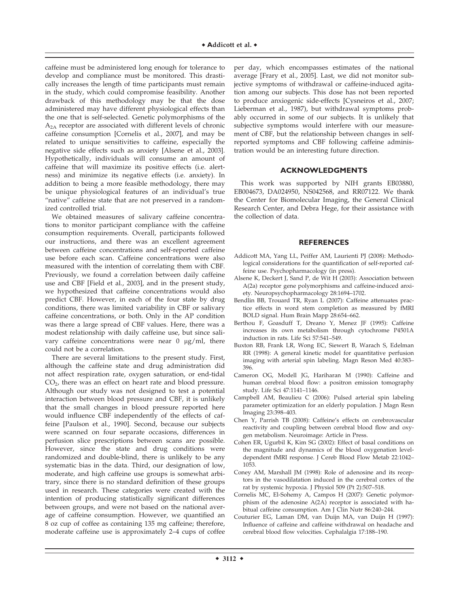caffeine must be administered long enough for tolerance to develop and compliance must be monitored. This drastically increases the length of time participants must remain in the study, which could compromise feasibility. Another drawback of this methodology may be that the dose administered may have different physiological effects than the one that is self-selected. Genetic polymorphisms of the A2A receptor are associated with different levels of chronic caffeine consumption [Cornelis et al., 2007], and may be related to unique sensitivities to caffeine, especially the negative side effects such as anxiety [Alsene et al., 2003]. Hypothetically, individuals will consume an amount of caffeine that will maximize its positive effects (i.e. alertness) and minimize its negative effects (i.e. anxiety). In addition to being a more feasible methodology, there may be unique physiological features of an individual's true "native" caffeine state that are not preserved in a randomized controlled trial.

We obtained measures of salivary caffeine concentrations to monitor participant compliance with the caffeine consumption requirements. Overall, participants followed our instructions, and there was an excellent agreement between caffeine concentrations and self-reported caffeine use before each scan. Caffeine concentrations were also measured with the intention of correlating them with CBF. Previously, we found a correlation between daily caffeine use and CBF [Field et al., 2003], and in the present study, we hypothesized that caffeine concentrations would also predict CBF. However, in each of the four state by drug conditions, there was limited variability in CBF or salivary caffeine concentrations, or both. Only in the AP condition was there a large spread of CBF values. Here, there was a modest relationship with daily caffeine use, but since salivary caffeine concentrations were near  $\theta$  µg/ml, there could not be a correlation.

There are several limitations to the present study. First, although the caffeine state and drug administration did not affect respiration rate, oxygen saturation, or end-tidal CO2, there was an effect on heart rate and blood pressure. Although our study was not designed to test a potential interaction between blood pressure and CBF, it is unlikely that the small changes in blood pressure reported here would influence CBF independently of the effects of caffeine [Paulson et al., 1990]. Second, because our subjects were scanned on four separate occasions, differences in perfusion slice prescriptions between scans are possible. However, since the state and drug conditions were randomized and double-blind, there is unlikely to be any systematic bias in the data. Third, our designation of low, moderate, and high caffeine use groups is somewhat arbitrary, since there is no standard definition of these groups used in research. These categories were created with the intention of producing statistically significant differences between groups, and were not based on the national average of caffeine consumption. However, we quantified an 8 oz cup of coffee as containing 135 mg caffeine; therefore, moderate caffeine use is approximately 2–4 cups of coffee

per day, which encompasses estimates of the national average [Frary et al., 2005]. Last, we did not monitor subjective symptoms of withdrawal or caffeine-induced agitation among our subjects. This dose has not been reported to produce anxiogenic side-effects [Cysneiros et al., 2007; Lieberman et al., 1987), but withdrawal symptoms probably occurred in some of our subjects. It is unlikely that subjective symptoms would interfere with our measurement of CBF, but the relationship between changes in selfreported symptoms and CBF following caffeine administration would be an interesting future direction.

# **ACKNOWLEDGMENTS**

This work was supported by NIH grants EB03880, EB004673, DA024950, NS042568, and RR07122. We thank the Center for Biomolecular Imaging, the General Clinical Research Center, and Debra Hege, for their assistance with the collection of data.

# **REFERENCES**

- Addicott MA, Yang LL, Peiffer AM, Laurienti PJ (2008): Methodological considerations for the quantification of self-reported caffeine use. Psychopharmacology (in press).
- Alsene K, Deckert J, Sand P, de Wit H (2003): Association between A(2a) receptor gene polymorphisms and caffeine-induced anxiety. Neuropsychopharmacology 28:1694–1702.
- Bendlin BB, Trouard TR, Ryan L (2007): Caffeine attenuates practice effects in word stem completion as measured by fMRI BOLD signal. Hum Brain Mapp 28:654–662.
- Berthou F, Goasduff T, Dreano Y, Menez JF (1995): Caffeine increases its own metabolism through cytochrome P4501A induction in rats. Life Sci 57:541–549.
- Buxton RB, Frank LR, Wong EC, Siewert B, Warach S, Edelman RR (1998): A general kinetic model for quantitative perfusion imaging with arterial spin labeling. Magn Reson Med 40:383– 396.
- Cameron OG, Modell JG, Hariharan M (1990): Caffeine and human cerebral blood flow: a positron emission tomography study. Life Sci 47:1141–1146.
- Campbell AM, Beaulieu C (2006): Pulsed arterial spin labeling parameter optimization for an elderly population. J Magn Resn Imaging 23:398–403.
- Chen Y, Parrish TB (2008): Caffeine's effects on cerebrovascular reactivity and coupling between cerebral blood flow and oxygen metabolism. Neuroimage: Article in Press.
- Cohen ER, Ugurbil K, Kim SG (2002): Effect of basal conditions on the magnitude and dynamics of the blood oxygenation leveldependent fMRI response. J Cereb Blood Flow Metab 22:1042– 1053.
- Coney AM, Marshall JM (1998): Role of adenosine and its receptors in the vasodilatation induced in the cerebral cortex of the rat by systemic hypoxia. J Physiol 509 (Pt 2):507–518.
- Cornelis MC, El-Sohemy A, Campos H (2007): Genetic polymorphism of the adenosine A(2A) receptor is associated with habitual caffeine consumption. Am J Clin Nutr 86:240–244.
- Couturier EG, Laman DM, van Duijn MA, van Duijn H (1997): Influence of caffeine and caffeine withdrawal on headache and cerebral blood flow velocities. Cephalalgia 17:188–190.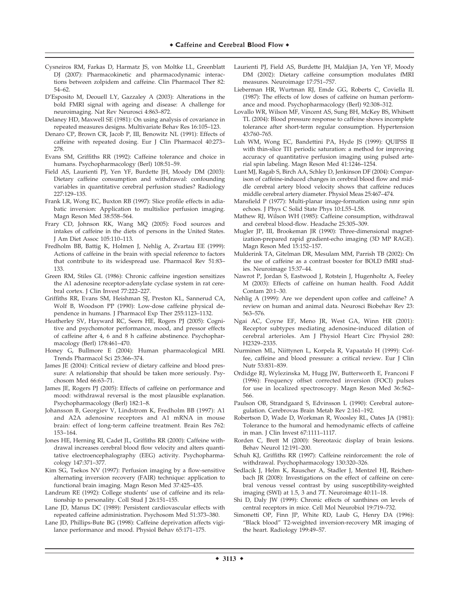- Cysneiros RM, Farkas D, Harmatz JS, von Moltke LL, Greenblatt DJ (2007): Pharmacokinetic and pharmacodynamic interactions between zolpidem and caffeine. Clin Pharmacol Ther 82: 54–62.
- D'Esposito M, Deouell LY, Gazzaley A (2003): Alterations in the bold FMRI signal with ageing and disease: A challenge for neuroimaging. Nat Rev Neurosci 4:863–872.
- Delaney HD, Maxwell SE (1981): On using analysis of covariance in repeated measures designs. Multivariate Behav Res 16:105–123.
- Denaro CP, Brown CR, Jacob P, III, Benowitz NL (1991): Effects of caffeine with repeated dosing. Eur J Clin Pharmacol 40:273– 278.
- Evans SM, Griffiths RR (1992): Caffeine tolerance and choice in humans. Psychopharmacology (Berl) 108:51–59.
- Field AS, Laurienti PJ, Yen YF, Burdette JH, Moody DM (2003): Dietary caffeine consumption and withdrawal: confounding variables in quantitative cerebral perfusion studies? Radiology 227:129–135.
- Frank LR, Wong EC, Buxton RB (1997): Slice profile effects in adiabatic inversion: Application to multislice perfusion imaging. Magn Reson Med 38:558–564.
- Frary CD, Johnson RK, Wang MQ (2005): Food sources and intakes of caffeine in the diets of persons in the United States. J Am Diet Assoc 105:110–113.
- Fredholm BB, Battig K, Holmen J, Nehlig A, Zvartau EE (1999): Actions of caffeine in the brain with special reference to factors that contribute to its widespread use. Pharmacol Rev 51:83– 133.
- Green RM, Stiles GL (1986): Chronic caffeine ingestion sensitizes the A1 adenosine receptor-adenylate cyclase system in rat cerebral cortex. J Clin Invest 77:222–227.
- Griffiths RR, Evans SM, Heishman SJ, Preston KL, Sannerud CA, Wolf B, Woodson PP (1990): Low-dose caffeine physical dependence in humans. J Pharmacol Exp Ther 255:1123–1132.
- Heatherley SV, Hayward RC, Seers HE, Rogers PJ (2005): Cognitive and psychomotor performance, mood, and pressor effects of caffeine after 4, 6 and 8 h caffeine abstinence. Psychopharmacology (Berl) 178:461–470.
- Honey G, Bullmore E (2004): Human pharmacological MRI. Trends Pharmacol Sci 25:366–374.
- James JE (2004): Critical review of dietary caffeine and blood pressure: A relationship that should be taken more seriously. Psychosom Med 66:63–71.
- James JE, Rogers PJ (2005): Effects of caffeine on performance and mood: withdrawal reversal is the most plausible explanation. Psychopharmacology (Berl) 182:1–8.
- Johansson B, Georgiev V, Lindstrom K, Fredholm BB (1997): A1 and A2A adenosine receptors and A1 mRNA in mouse brain: effect of long-term caffeine treatment. Brain Res 762: 153–164.
- Jones HE, Herning RI, Cadet JL, Griffiths RR (2000): Caffeine withdrawal increases cerebral blood flow velocity and alters quantitative electroencephalography (EEG) activity. Psychopharmacology 147:371–377.
- Kim SG, Tsekos NV (1997): Perfusion imaging by a flow-sensitive alternating inversion recovery (FAIR) technique: application to functional brain imaging. Magn Reson Med 37:425–435.
- Landrum RE (1992): College students' use of caffeine and its relationship to personality. Coll Stud J 26:151–155.
- Lane JD, Manus DC (1989): Persistent cardiovascular effects with repeated caffeine administration. Psychosom Med 51:373–380.
- Lane JD, Phillips-Bute BG (1998): Caffeine deprivation affects vigilance performance and mood. Physiol Behav 65:171–175.
- Laurienti PJ, Field AS, Burdette JH, Maldjian JA, Yen YF, Moody DM (2002): Dietary caffeine consumption modulates fMRI measures. Neuroimage 17:751–757.
- Lieberman HR, Wurtman RJ, Emde GG, Roberts C, Coviella IL (1987): The effects of low doses of caffeine on human performance and mood. Psychopharmacology (Berl) 92:308–312.
- Lovallo WR, Wilson MF, Vincent AS, Sung BH, McKey BS, Whitsett TL (2004): Blood pressure response to caffeine shows incomplete tolerance after short-term regular consumption. Hypertension 43:760–765.
- Luh WM, Wong EC, Bandettini PA, Hyde JS (1999): QUIPSS II with thin-slice TI1 periodic saturation: a method for improving accuracy of quantitative perfusion imaging using pulsed arterial spin labeling. Magn Reson Med 41:1246–1254.
- Lunt MJ, Ragab S, Birch AA, Schley D, Jenkinson DF (2004): Comparison of caffeine-induced changes in cerebral blood flow and middle cerebral artery blood velocity shows that caffeine reduces middle cerebral artery diameter. Physiol Meas 25:467–474.
- Mansfield P (1977): Multi-planar image-formation using nmr spin echoes. J Phys C Solid State Phys 10:L55–L58.
- Mathew RJ, Wilson WH (1985): Caffeine consumption, withdrawal and cerebral blood-flow. Headache 25:305–309.
- Mugler JP, III, Brookeman JR (1990): Three-dimensional magnetization-prepared rapid gradient-echo imaging (3D MP RAGE). Magn Reson Med 15:152–157.
- Mulderink TA, Gitelman DR, Mesulam MM, Parrish TB (2002): On the use of caffeine as a contrast booster for BOLD fMRI studies. Neuroimage 15:37–44.
- Nawrot P, Jordan S, Eastwood J, Rotstein J, Hugenholtz A, Feeley M (2003): Effects of caffeine on human health. Food Addit Contam 20:1–30.
- Nehlig A (1999): Are we dependent upon coffee and caffeine? A review on human and animal data. Neurosci Biobehav Rev 23: 563–576.
- Ngai AC, Coyne EF, Meno JR, West GA, Winn HR (2001): Receptor subtypes mediating adenosine-induced dilation of cerebral arterioles. Am J Physiol Heart Circ Physiol 280: H2329–2335.
- Nurminen ML, Niittynen L, Korpela R, Vapaatalo H (1999): Coffee, caffeine and blood pressure: a critical review. Eur J Clin Nutr 53:831–839.
- Ordidge RJ, Wylezinska M, Hugg JW, Butterworth E, Franconi F (1996): Frequency offset corrected inversion (FOCI) pulses for use in localized spectroscopy. Magn Reson Med 36:562– 566.
- Paulson OB, Strandgaard S, Edvinsson L (1990): Cerebral autoregulation. Cerebrovas Brain Metab Rev 2:161–192.
- Robertson D, Wade D, Workman R, Woosley RL, Oates JA (1981): Tolerance to the humoral and hemodynamic effects of caffeine in man. J Clin Invest 67:1111–1117.
- Rorden C, Brett M (2000): Stereotaxic display of brain lesions. Behav Neurol 12:191–200.
- Schuh KJ, Griffiths RR (1997): Caffeine reinforcement: the role of withdrawal. Psychopharmacology 130:320–326.
- Sedlacik J, Helm K, Rauscher A, Stadler J, Mentzel HJ, Reichenbach JR (2008): Investigations on the effect of caffeine on cerebral venous vessel contrast by using susceptibility-weighted imaging (SWI) at 1.5, 3 and 7T. Neuroimage 40:11–18.
- Shi D, Daly JW (1999): Chronic effects of xanthines on levels of central receptors in mice. Cell Mol Neurobiol 19:719–732.
- Simonetti OP, Finn JP, White RD, Laub G, Henry DA (1996): "Black blood" T2-weighted inversion-recovery MR imaging of the heart. Radiology 199:49–57.